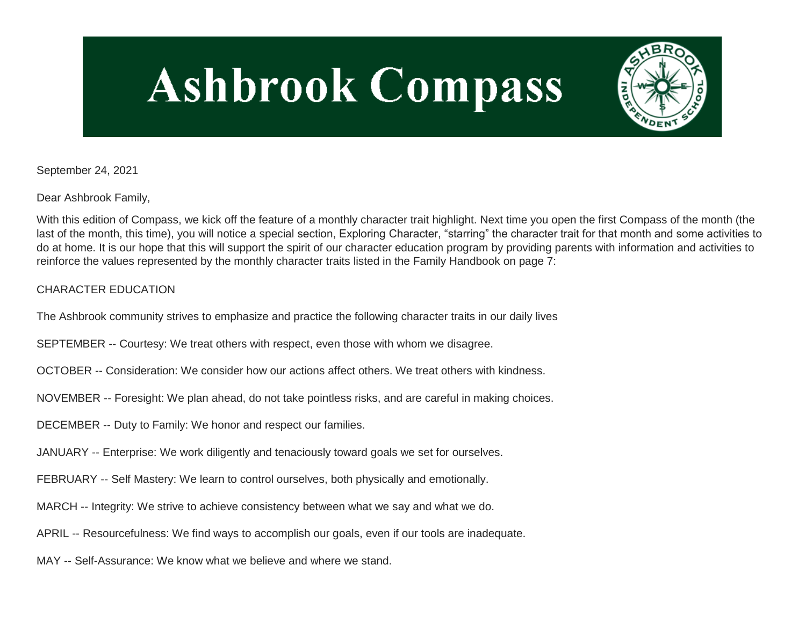# **Ashbrook Compass**



September 24, 2021

Dear Ashbrook Family,

With this edition of Compass, we kick off the feature of a monthly character trait highlight. Next time you open the first Compass of the month (the last of the month, this time), you will notice a special section, Exploring Character, "starring" the character trait for that month and some activities to do at home. It is our hope that this will support the spirit of our character education program by providing parents with information and activities to reinforce the values represented by the monthly character traits listed in the Family Handbook on page 7:

## CHARACTER EDUCATION

The Ashbrook community strives to emphasize and practice the following character traits in our daily lives

SEPTEMBER -- Courtesy: We treat others with respect, even those with whom we disagree.

- OCTOBER -- Consideration: We consider how our actions affect others. We treat others with kindness.
- NOVEMBER -- Foresight: We plan ahead, do not take pointless risks, and are careful in making choices.
- DECEMBER -- Duty to Family: We honor and respect our families.
- JANUARY -- Enterprise: We work diligently and tenaciously toward goals we set for ourselves.
- FEBRUARY -- Self Mastery: We learn to control ourselves, both physically and emotionally.
- MARCH -- Integrity: We strive to achieve consistency between what we say and what we do.
- APRIL -- Resourcefulness: We find ways to accomplish our goals, even if our tools are inadequate.
- MAY -- Self-Assurance: We know what we believe and where we stand.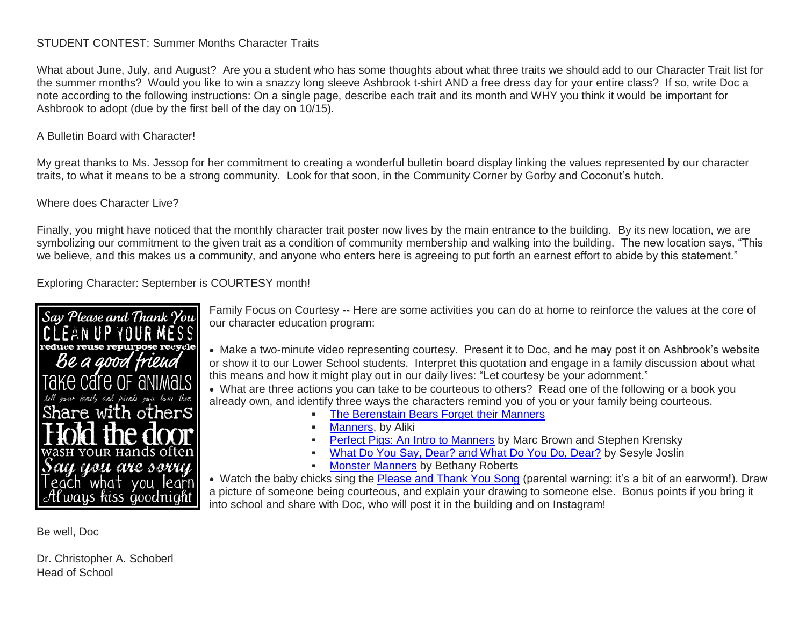### STUDENT CONTEST: Summer Months Character Traits

What about June, July, and August? Are you a student who has some thoughts about what three traits we should add to our Character Trait list for the summer months? Would you like to win a snazzy long sleeve Ashbrook t-shirt AND a free dress day for your entire class? If so, write Doc a note according to the following instructions: On a single page, describe each trait and its month and WHY you think it would be important for Ashbrook to adopt (due by the first bell of the day on 10/15).

### A Bulletin Board with Character!

My great thanks to Ms. Jessop for her commitment to creating a wonderful bulletin board display linking the values represented by our character traits, to what it means to be a strong community. Look for that soon, in the Community Corner by Gorby and Coconut's hutch.

### Where does Character Live?

Finally, you might have noticed that the monthly character trait poster now lives by the main entrance to the building. By its new location, we are symbolizing our commitment to the given trait as a condition of community membership and walking into the building. The new location says, "This we believe, and this makes us a community, and anyone who enters here is agreeing to put forth an earnest effort to abide by this statement."

Exploring Character: September is COURTESY month!



Family Focus on Courtesy -- Here are some activities you can do at home to reinforce the values at the core of our character education program:

 Make a two-minute video representing courtesy. Present it to Doc, and he may post it on Ashbrook's website or show it to our Lower School students. Interpret this quotation and engage in a family discussion about what this means and how it might play out in our daily lives: "Let courtesy be your adornment."

 What are three actions you can take to be courteous to others? Read one of the following or a book you already own, and identify three ways the characters remind you of you or your family being courteous.

- [The Berenstain Bears Forget their Manners](http://link.mystudentsprogress.com/ls/click?upn=GbuZMsH4QD-2BGs1AtMRPNC1mWb-2Fe2BLa9HgHiCFsy-2Fc7v-2BH026YhkrwcXbY0VonvwOR6i8EopJB3g6S9XY8M8Ew-3D-3DLedw_1PndbFfBoQGSZbxwXHHEexw3B2F0fG-2BUmuXm6a-2BX-2BzsOvCqR85rISZ-2Bg6uZIEqVYrtsPQvgiwaz9V6wykUnMzJ3V4v7LWez4L5FED6FzhFnujOch7WmuGwwouFSAmBEer9AF-2FRXzvcxCERlKdZfmY2UpWUGzC3WmcSaZoXv8hzsMQyPvsJK24IhPedddWoRmw-2BXZsJDEvFHGDE6NQ1eF6v4PFa4mOZZW5aFODjzwYosDNVaYB5Y1cecB2DI9aeOUB8wq8zBdWbIrwiGisHS6YcDKYDXK5I2J1jt9obnJBCcs3wxiefd8q0VwxrysvAG1itB-2FqeXlPerFACNIYnadZ01unwI4rv3kBHxwfHZIP77VgZo8VSWg0bkOFKbAhu8VbllWwXiEseG-2F4hiC2hwiVmBIB7tW2n8lcDVPVzOQvAXaTAXk9x5rEYk9ovb4sUpr)
- [Manners,](http://link.mystudentsprogress.com/ls/click?upn=GbuZMsH4QD-2BGs1AtMRPNC1mWb-2Fe2BLa9HgHiCFsy-2Fc66Fieef1FZtjWMhiVLEW0xJ-2Fa8GyejDIx33n3YKbFugQ-3D-3DG2AB_1PndbFfBoQGSZbxwXHHEexw3B2F0fG-2BUmuXm6a-2BX-2BzsOvCqR85rISZ-2Bg6uZIEqVYrtsPQvgiwaz9V6wykUnMzO5xc2gpOo0an7AjJNwDYg7ispGqWbNjNogUFzXcmBGM5S6ognWFD4cqxX-2B5IOALtaTv-2BI3bcIoNEYkr1wUrOfx-2BqtsMop3Er1CqMuJtFIkSqLl7zk2H0FqlajJcSJu1w1NO85iwuWemB9RSUP4ef0TqMn9j1ugje9BMZ8QJ3XM2o7AME79QC43WM8NNv-2FqJuYIHTqONfZsGY02jYUEB686ET19MvB2eUgTCNxb0vDHTAUccNEG4n2ls1CXX5bo4x1BlYd3MQNxf4BKI75eSvcgMCZAwHgNmd7kJlrMHKuMZmsaLtzvFBSlEPCgKsnG-2B2U8JuzwuC-2FE27yp-2F-2FKwpPdvyHr8WNVONhK7eTxcjYS8A) by Aliki
- **[Perfect Pigs: An Intro to Manners](http://link.mystudentsprogress.com/ls/click?upn=GbuZMsH4QD-2BGs1AtMRPNC1mWb-2Fe2BLa9HgHiCFsy-2Fc7v-2BH026YhkrwcXbY0VonvwCnFKbsOr8ejdecgdCvx1kg-3D-3DEgRX_1PndbFfBoQGSZbxwXHHEexw3B2F0fG-2BUmuXm6a-2BX-2BzsOvCqR85rISZ-2Bg6uZIEqVYrtsPQvgiwaz9V6wykUnMzE5VHgFPploDNj06G6GBXgBfJsGKLyg9dJ6Gyc1ewmyLZbjrSEt139vj-2Fd6xczEq1qeCmcGqCh7zXn7IVZdRHJucaB-2BvClMx-2FcAdRu5p9E-2FaFJPBnCFs1U5m46mFTMQX-2BtkV6LpbUS4OSUDALE2ZIhz-2FkY05gO4eqcq1sUYJUv6ULEzCFsBtVcQoqdQ3InuP-2BGUd2knaVTA4yyyKZkWlxUsL-2BLkZcIxFfO0kU6Q5s9uyekzwH7VP279ag0Zos-2FAyOzb4gv3LT8vSCJJcsKZpzLK9t7CIVOkcGkiqiW49d1WvTpaghss6BzI0mH-2BBXcMiJkYMVfOF-2FwjoPnGkabEev5kvc7DzA2HQZsGoyPqhNyPC) by Marc Brown and Stephen Krensky**
- [What Do You Say, Dear? and What Do You Do, Dear?](http://link.mystudentsprogress.com/ls/click?upn=GbuZMsH4QD-2BGs1AtMRPNC1mWb-2Fe2BLa9HgHiCFsy-2Fc7wn4wMDuTKPQEd2p-2BRcn7UoMfD9ep2U8VyXDWmg-2BBlIw-3D-3DeRoM_1PndbFfBoQGSZbxwXHHEexw3B2F0fG-2BUmuXm6a-2BX-2BzsOvCqR85rISZ-2Bg6uZIEqVYrtsPQvgiwaz9V6wykUnMzLeUVbqWK-2B-2FVVAl-2Fr6Coij7IrXqnnwyq2umq1WZDexnSQACwU6zRGnxxsu9-2FdFOT1tQFD-2FM9zqoTutVgxZahqs8N8udtbNRxlCGQVoZ1ecK04ZZitN3CJxpLKC-2BXJ5mbQl15aGPsxE0ywaZlS-2BxY6TlJHcGTJmixJTH1sKkB8rCcaVkxCfL2exyRU-2BNKYYWHXfbRoBb5oB-2FwVgVukuToev4L9X5mRLXNT6YIrzVIVxZ1hfyYPEvlAFVhIpkPbX-2FDMgowM36MdsTbMbJudoTgeaIGyqGDhET1uVuRwR5PRQAWJiGVD-2F0O8r1WZ6uIkh9GP5Ka4-2FX9EEelv7WIHqP2RaTE5y-2FncPCUxBr2rH7RKtN-2B) by Sesyle Joslin
- **[Monster Manners](http://link.mystudentsprogress.com/ls/click?upn=GbuZMsH4QD-2BGs1AtMRPNC1mWb-2Fe2BLa9HgHiCFsy-2Fc7v-2BH026YhkrwcXbY0Vonvw-2FK-2BC-2BGWnwGo7Kdy4wiC2Ng-3D-3DjLR5_1PndbFfBoQGSZbxwXHHEexw3B2F0fG-2BUmuXm6a-2BX-2BzsOvCqR85rISZ-2Bg6uZIEqVYrtsPQvgiwaz9V6wykUnMzKjCo4Vjk196pU-2F6Du34k3OSiXYYy0EY-2Fngw7NYbFeqAkrUcCQnFXGfj3lsMqyvpxnuDCOLl-2Bs-2B0D6Li52FpTwUrzBO2ED4t6GoLAGAjvKMo4q8vFRycrI91KLaKljZvX9O-2BeubbzBQjByyxXsA16-2BJjv9O3qWusmT7LnqITLqyNe6YHKBShZrxzSi1fEyU2dgAXib7eVy2wTBbl-2BeYyP-2BiNDtNIAV-2FIQc-2FI0DR-2B5Q4WyripyBuTJIEFAjiV1V-2BSvJFuyJ2avRrirK7Q5EihdQYfL1a5InllbaGhoD2qrbqz30Tm8aN0wNXVW6-2ByZ8YJCl9iU5Cfsw4-2BGEDlFarDBox71OFxm-2BskWoM1ZhnN5j70) by Bethany Roberts**

• Watch the baby chicks sing the [Please and Thank You Song](http://link.mystudentsprogress.com/ls/click?upn=5XDbAd9r0ovG7GZusFBG8PfeZw8-2F7u87HLkeZtu3xvgioSwqXKx8oThuf9arbH8vNUhWsuT7MnEKeq5ihCqobg-3D-3D82_W_1PndbFfBoQGSZbxwXHHEexw3B2F0fG-2BUmuXm6a-2BX-2BzsOvCqR85rISZ-2Bg6uZIEqVYrtsPQvgiwaz9V6wykUnMzCPUv9gV9C9X7V2g9B9tlGM0tA7duz7yf5oXBM-2BlkSh0OjzpbkohcY6sDsnV5CkwzXEAgdTV97aGetpY2ZI1UO22KhWm-2Br4hnTPyq0rQmViZHW2LIQiBtQY7TUynDjvW3fO8XC4imM4JoJJkzM65HLf6VvqhmFXoTrqp4YlvW4gz3Mwc9Isttx60qiCEQQEhevv2PzlGDp1c39V2FxZXoEtSLxq3QAcDp-2FYRQ-2BXNsn2IIKkR1fYMIhaKQLf2xbGixzjZn7jrPLCOuqFpYeyAAEc4ChzS7TaGZsfM5yCHtVl6MwE-2FPu9OxUzEhLLSbWq2IHJOfEvnzIcBMpw3F3zmKoiDcRw8sqi-2B6v3VVqSY03yN) (parental warning: it's a bit of an earworm!). Draw a picture of someone being courteous, and explain your drawing to someone else. Bonus points if you bring it into school and share with Doc, who will post it in the building and on Instagram!

Be well, Doc

Dr. Christopher A. Schoberl Head of School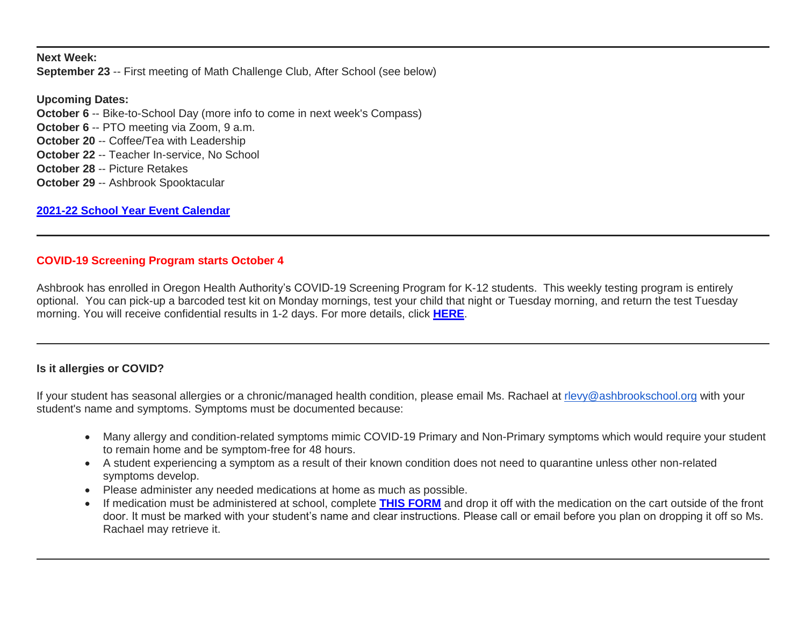**Next Week: September 23** -- First meeting of Math Challenge Club, After School (see below)

**Upcoming Dates: October 6** -- Bike-to-School Day (more info to come in next week's Compass) **October 6 -- PTO meeting via Zoom, 9 a.m. October 20** -- Coffee/Tea with Leadership **October 22** -- Teacher In-service, No School **October 28** -- Picture Retakes **October 29** -- Ashbrook Spooktacular

**[2021-22 School Year Event Calendar](http://link.mystudentsprogress.com/ls/click?upn=t3AI3kjK1Pyk9qPfHnOahelBVVSIlRAa3GeSLMbkINmgHr3guxrPuqfp-2Bh-2FJW4nCZ4g8Gi3XkGXC-2FKATZbsSvlLtGaxynoxi8rg7wuoRjJ9ogb5HbX999Eip-2FZE6wLdBt-2FZXHJBS6zquMLtzN9wyAf-2BwWQPV3rI3lDDknuQ1JHMBzJ8gUYT-2F7YzNEwZY9IsL01sHprQ-2FIDOi-2FxvxQxcWetx3uPiVsOO-2BTqPctwW7ytf9RkxC1x3UjTIEBtRaqxRocHrr-2BmciBR4-2BJ-2F9FRK9RIbCVijz3zpNIIcd4PIsUMddSSVNBf6Erlmv-2BHBcLMpY-2BXATDQ1ruaOReFDZmWYSBv8U-2FG-2FKOr0yEkAwqSdMzdcQ3gq4Z79RZNOTZP4nGap5-2B4nzc4nIf29OyD3NhvJHQaLkc85sE-2FfYbPaGyyk6H2FOzJRYThJmT37US6LpTrGNlh9HxVTLYe1LpjcNTBXNJsSKlp-2BAa-2BVuGTdE8v33fTt9-2BgR-2BE9tSlDPzhNHxWPZ2RZ535aLRz3SoCCiPZR3EABfh4FMKDRC4z2q-2Bvjvbtim7SOD4kDD2r5XYSDBe4a3bcI5fNds6iRAQWmj3uDnwn3-2B3tKuGNT1JKaRpJXKTgGLzWZLAnNUo4fvdQC77H83vaK-2BM8PCeLuljt-2FRAsnx0cP-2FGdRouESOyMOB5ORkT-2BH-2Bkw4hRRiiTCpe61BsZqpA-2Bu0CJJ_1PndbFfBoQGSZbxwXHHEexw3B2F0fG-2BUmuXm6a-2BX-2BzsOvCqR85rISZ-2Bg6uZIEqVYrtsPQvgiwaz9V6wykUnMzNveDbn7AaaKt39J9EBcZk7QxrzMt6TE0EH9ieswSLDA1yXiitBcjNT-2FRVzvd4acSVHh0c7rQpIvTns7rJdLgeNTUa0C6wog-2Bj6LPbk9M7NeOSX1n0-2BUsNxzUjcRXY5Qe2tSFkEUss41U3E74O5XiHq2eNC5CDkW0W4kDOhNpMZXm8F2x4TBnDhZQ0Dnm2hVFqVMqBNM1kcsD2l0oY8aSR8UrsZZsdWPj7sRngCJEEJ-2F6nQ7CA3wDs1I58IFomL4EHj3YrLqUgJIbrcpLtbos0AjW7Lays2Be-2BkR1-2FxUUXOA2N8uXcJelxrU-2FBCPrMk7kUm7gaOq1GWDVz-2BaMXzm1Z2iooC3uF8uWJ9K6hfd9xQI)**

## **COVID-19 Screening Program starts October 4**

Ashbrook has enrolled in Oregon Health Authority's COVID-19 Screening Program for K-12 students. This weekly testing program is entirely optional. You can pick-up a barcoded test kit on Monday mornings, test your child that night or Tuesday morning, and return the test Tuesday morning. You will receive confidential results in 1-2 days. For more details, click **[HERE](http://link.mystudentsprogress.com/ls/click?upn=n7jYKe39nC4PrVAw2BzaOolgU5XUleaJ61qfvNJxTW3uoi8RFzNYUfSc1qXdqajA34djZWrxIBJBxzp2whbybvqIYp3dDOkCDgKesziBdCm5lREQK9RheqVEh9QjAqMMz0UWhlnOZ-2B3RUAGeWpjHrkMIUF8j8RLxhXnCxS94iqC4ZnDQ5YPoCZSnFKK3KrrVFBba_1PndbFfBoQGSZbxwXHHEexw3B2F0fG-2BUmuXm6a-2BX-2BzsOvCqR85rISZ-2Bg6uZIEqVYrtsPQvgiwaz9V6wykUnMzLEZ7shIyf04gPKudusAWFQSeOcVGaadoeaV5-2Bz0iM8EmvIzVqXteDfP0oIHyir-2Bkb-2FbMLDvLrVcjHZ1j3T4axZA9WZad2yCPc6yLR8Xg6wG7M4aLMMifrCk6GjpKoOQ9zdIKZBCGSPXLnw-2FfPYorcVVEM2G0RYV-2BescqShWS8q7zXwRMX8FQXrICqj0bZWu-2BTyC-2BgoBksqGlbuRno8Jv1FNG2LR23EhEKyv8DAc-2Bb5bF04PD617RqxK9WIrXuSCv0Zlc5aPzui4Vx0xgjGWIgoYcZQS9gH1FndheAJnqW41WeePR8vKDQJTVt6OZ4cqtC27YXj8jwaI-2FHfh0ONTmSS-2FkBKexVj5EvGvLbLlPgZy)**.

### **Is it allergies or COVID?**

If your student has seasonal allergies or a chronic/managed health condition, please email Ms. Rachael at [rlevy@ashbrookschool.org](mailto:rlevy@ashbrookschool.org) with your student's name and symptoms. Symptoms must be documented because:

- Many allergy and condition-related symptoms mimic COVID-19 Primary and Non-Primary symptoms which would require your student to remain home and be symptom-free for 48 hours.
- A student experiencing a symptom as a result of their known condition does not need to quarantine unless other non-related symptoms develop.
- Please administer any needed medications at home as much as possible.
- If medication must be administered at school, complete **[THIS FORM](http://link.mystudentsprogress.com/ls/click?upn=n7jYKe39nC4PrVAw2BzaOolgU5XUleaJ61qfvNJxTW3uoi8RFzNYUfSc1qXdqajA34djZWrxIBJBxzp2whbybvqIYp3dDOkCDgKesziBdCn4Jz0-2Fbfz-2BnFE8ocS2BVOfpTd79JEMsDJ7erDamCaVetObdsn8Azrp10pIqLS26jumcGqttlHURlFwF0JsYHQ2jPFf_1PndbFfBoQGSZbxwXHHEexw3B2F0fG-2BUmuXm6a-2BX-2BzsOvCqR85rISZ-2Bg6uZIEqVYrtsPQvgiwaz9V6wykUnMzB9RZkCiGfR2RZ8AHNb4yXF0I3WVYGhCauXN-2B1ZTQUclgC9QLN3Te5gzmrySemcSBAVXfGclsMMKUPxpqTfYeIGfegyoZbNd3cbR2ugt1zva1g-2FNSZlT46pH72sYUtkDu7OL02lGK7wEyjs8iJ4FmV7aMA51IzKWJWMwyASpyEBHfEgs-2B76-2BQ2tlgC16f3BQspVt6h2LhLbjaa16CxZGGbEV1-2BpFus0ZcM-2FTqoSj0iDDy7-2BayDxIxyOQGmCLeMGBq0j7WgEfoAcCxBvYxYCojpeRgofj7x60I23zSYZxmNQmFDdAn-2BVxsQXknblllbqyV4M-2B9u7I4CJDi9yp-2FVZkF4SJWwDzoHzwP-2Bv1xvVhAwJu)** and drop it off with the medication on the cart outside of the front door. It must be marked with your student's name and clear instructions. Please call or email before you plan on dropping it off so Ms. Rachael may retrieve it.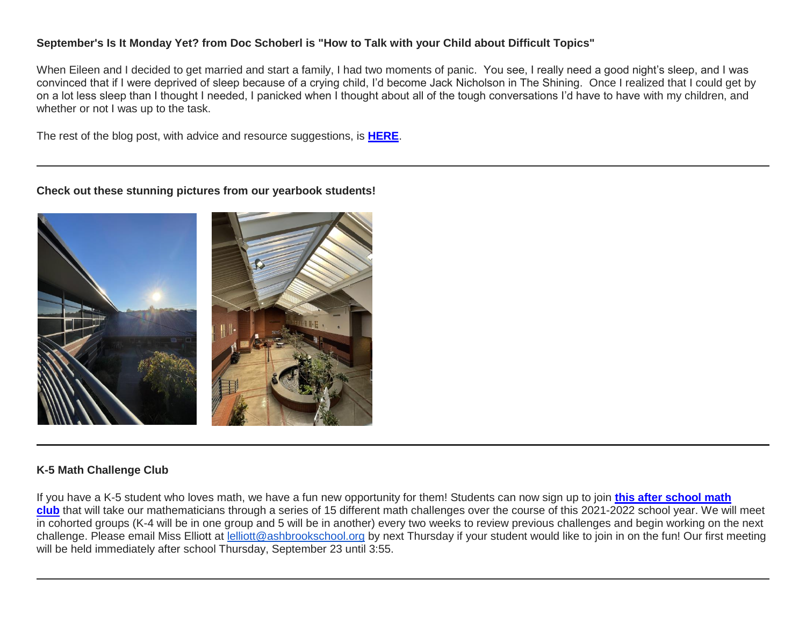## **September's Is It Monday Yet? from Doc Schoberl is "How to Talk with your Child about Difficult Topics"**

When Eileen and I decided to get married and start a family, I had two moments of panic. You see, I really need a good night's sleep, and I was convinced that if I were deprived of sleep because of a crying child, I'd become Jack Nicholson in The Shining. Once I realized that I could get by on a lot less sleep than I thought I needed, I panicked when I thought about all of the tough conversations I'd have to have with my children, and whether or not I was up to the task.

The rest of the blog post, with advice and resource suggestions, is **[HERE](http://link.mystudentsprogress.com/ls/click?upn=n7jYKe39nC4PrVAw2BzaOolgU5XUleaJ61qfvNJxTW3uoi8RFzNYUfSc1qXdqajA34djZWrxIBJBxzp2whbybvqIYp3dDOkCDgKesziBdCmEAlKlXAZzcjmERX7kDHODzMipwAQKXN3kyANMTvSaCURLdjH4uY5LXkcGJpdaj2I-3DJjL0_1PndbFfBoQGSZbxwXHHEexw3B2F0fG-2BUmuXm6a-2BX-2BzsOvCqR85rISZ-2Bg6uZIEqVYrtsPQvgiwaz9V6wykUnMzBTrpIyLrrg0-2F3FdJ2VtKv8JUN3VnTtHb4Tu4Nt8QXSxex8vcpr0InTYMfGlRtoMf4uV2z5YPNTzMPcf7mifl5Faj5W29FQGaIjWQIaH0Th9nW-2B6VvAXLjDxw7o-2FYIdHf-2BA5U3yzhXi-2B8PzS9OIHf9OE90eCA4Pdl9UtM-2FtXGVBUgq1bZSQ5YSrJWXi4GAmQWP-2Fu5BGGsCiwC-2FLynwRlCnOiKNthtgolxy4tc1PoqR-2F6jmGtZ0X2E2VKxSjlsDpzN3qUZwNHTIImsLFH6mUtwzVPl4FLNVMucEVjeNpagQNBgjJJAVKJmanBZjy6XpocJQ4fr5Uxkg-2F4s6i-2BTi54gTWMj0AYm23Ks8WfYj82U4T4)**.

**Check out these stunning pictures from our yearbook students!**



### **K-5 Math Challenge Club**

If you have a K-5 student who loves math, we have a fun new opportunity for them! Students can now sign up to join **[this after school math](http://link.mystudentsprogress.com/ls/click?upn=5XDbAd9r0ovG7GZusFBG8O1W19MNtZH6dP8Z3C-2FKMhZOQ9CrWfqb1VE4EBYKPmS8JbW-2FHyfO2yg-2FHslMuOZ-2BNw-3D-3DWrIP_1PndbFfBoQGSZbxwXHHEexw3B2F0fG-2BUmuXm6a-2BX-2BzsOvCqR85rISZ-2Bg6uZIEqVYrtsPQvgiwaz9V6wykUnMzPTqg9E734clnXJ0Rpt5BEOodFNyQAO-2F622y-2BsaTr9F53NsruzSuIew2nA1WPOoK83a2mWzWqJDh7ikf5FrnuM-2FBfkdH32DBGLP7C2Yz1WGEJOkUiEVbL1YE7O-2FUCRhaYXav4RSnrrkOu6K9Vteu4tWVD4CGAWfX79xZ1T5qPos0v5s1nw0Jw5IB8u-2Bnvfbb1glGDSzsfjHpx7IIrhgM9YqYS1CfZj-2BKq-2FRzfqRNcr0C8p0-2FUVHaiDu1FJHo3KjIMgmfceOmBl5OwLrzn-2FQT0F3jHe0kTste1-2Bh9o-2FPq0sBaMXppEglUftg5S8P6x3KwJCTrIYXpWDb0tpTwqM4mNdnT-2FWNUlKUavtWZOR8-2Fv-2Bgj)  [club](http://link.mystudentsprogress.com/ls/click?upn=5XDbAd9r0ovG7GZusFBG8O1W19MNtZH6dP8Z3C-2FKMhZOQ9CrWfqb1VE4EBYKPmS8JbW-2FHyfO2yg-2FHslMuOZ-2BNw-3D-3DWrIP_1PndbFfBoQGSZbxwXHHEexw3B2F0fG-2BUmuXm6a-2BX-2BzsOvCqR85rISZ-2Bg6uZIEqVYrtsPQvgiwaz9V6wykUnMzPTqg9E734clnXJ0Rpt5BEOodFNyQAO-2F622y-2BsaTr9F53NsruzSuIew2nA1WPOoK83a2mWzWqJDh7ikf5FrnuM-2FBfkdH32DBGLP7C2Yz1WGEJOkUiEVbL1YE7O-2FUCRhaYXav4RSnrrkOu6K9Vteu4tWVD4CGAWfX79xZ1T5qPos0v5s1nw0Jw5IB8u-2Bnvfbb1glGDSzsfjHpx7IIrhgM9YqYS1CfZj-2BKq-2FRzfqRNcr0C8p0-2FUVHaiDu1FJHo3KjIMgmfceOmBl5OwLrzn-2FQT0F3jHe0kTste1-2Bh9o-2FPq0sBaMXppEglUftg5S8P6x3KwJCTrIYXpWDb0tpTwqM4mNdnT-2FWNUlKUavtWZOR8-2Fv-2Bgj)** that will take our mathematicians through a series of 15 different math challenges over the course of this 2021-2022 school year. We will meet in cohorted groups (K-4 will be in one group and 5 will be in another) every two weeks to review previous challenges and begin working on the next challenge. Please email Miss Elliott at [lelliott@ashbrookschool.org](mailto:lelliott@ashbrookschool.org) by next Thursday if your student would like to join in on the fun! Our first meeting will be held immediately after school Thursday, September 23 until 3:55.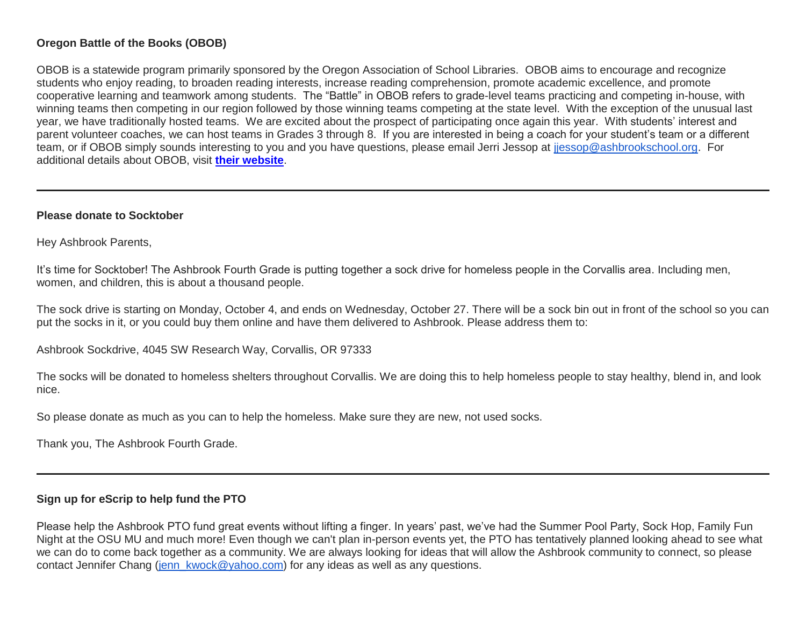## **Oregon Battle of the Books (OBOB)**

OBOB is a statewide program primarily sponsored by the Oregon Association of School Libraries. OBOB aims to encourage and recognize students who enjoy reading, to broaden reading interests, increase reading comprehension, promote academic excellence, and promote cooperative learning and teamwork among students. The "Battle" in OBOB refers to grade-level teams practicing and competing in-house, with winning teams then competing in our region followed by those winning teams competing at the state level. With the exception of the unusual last year, we have traditionally hosted teams. We are excited about the prospect of participating once again this year. With students' interest and parent volunteer coaches, we can host teams in Grades 3 through 8. If you are interested in being a coach for your student's team or a different team, or if OBOB simply sounds interesting to you and you have questions, please email Jerri Jessop at [jjessop@ashbrookschool.org.](mailto:jjessop@ashbrookschool.org) For additional details about OBOB, visit **[their website](http://link.mystudentsprogress.com/ls/click?upn=5XDbAd9r0ovG7GZusFBG8ORWMGH-2FW4YPcO447llngmD5OSBK8a0siDZNrIa3zefaYv31_1PndbFfBoQGSZbxwXHHEexw3B2F0fG-2BUmuXm6a-2BX-2BzsOvCqR85rISZ-2Bg6uZIEqVYrtsPQvgiwaz9V6wykUnMzDlpMTbIhGtyMB0FxXVvXjuOiiL-2FoB35UKvcqYCCSwzzrSYDZhFJBhs2YaiXXe9-2FrGdymLUDz4-2BfM6-2Bcay5TszzFHBsV5QB0KdFeHmNo5Ql7RrK4w1Oesjq2XJXJnYPwmeLAnmifdb0trKaknzrKAx5t73qdpbUjNMuAaIw0VPH71qv8LYw2XHZbwV8D4eXL5ILi-2FL7GyHhj0yiSJvK-2FhsFTUhVkxOJyY3pnPJp6gc6U7kXpNEtv01XnsLgTygBITSwRH-2BQFg0yud5JQ5fIVWG4rvG-2FjdSZ719hvcH237h1E0DXvGeGvIPhh3n2yRhirAcfdT3pFDtEOle8KLsCeZejw21IOJzYHAOFn2ijteoz4)**.

#### **Please donate to Socktober**

Hey Ashbrook Parents,

It's time for Socktober! The Ashbrook Fourth Grade is putting together a sock drive for homeless people in the Corvallis area. Including men, women, and children, this is about a thousand people.

The sock drive is starting on Monday, October 4, and ends on Wednesday, October 27. There will be a sock bin out in front of the school so you can put the socks in it, or you could buy them online and have them delivered to Ashbrook. Please address them to:

Ashbrook Sockdrive, 4045 SW Research Way, Corvallis, OR 97333

The socks will be donated to homeless shelters throughout Corvallis. We are doing this to help homeless people to stay healthy, blend in, and look nice.

So please donate as much as you can to help the homeless. Make sure they are new, not used socks.

Thank you, The Ashbrook Fourth Grade.

### **Sign up for eScrip to help fund the PTO**

Please help the Ashbrook PTO fund great events without lifting a finger. In years' past, we've had the Summer Pool Party, Sock Hop, Family Fun Night at the OSU MU and much more! Even though we can't plan in-person events yet, the PTO has tentatively planned looking ahead to see what we can do to come back together as a community. We are always looking for ideas that will allow the Ashbrook community to connect, so please contact Jennifer Chang [\(jenn\\_kwock@yahoo.com\)](mailto:jenn_kwock@yahoo.com) for any ideas as well as any questions.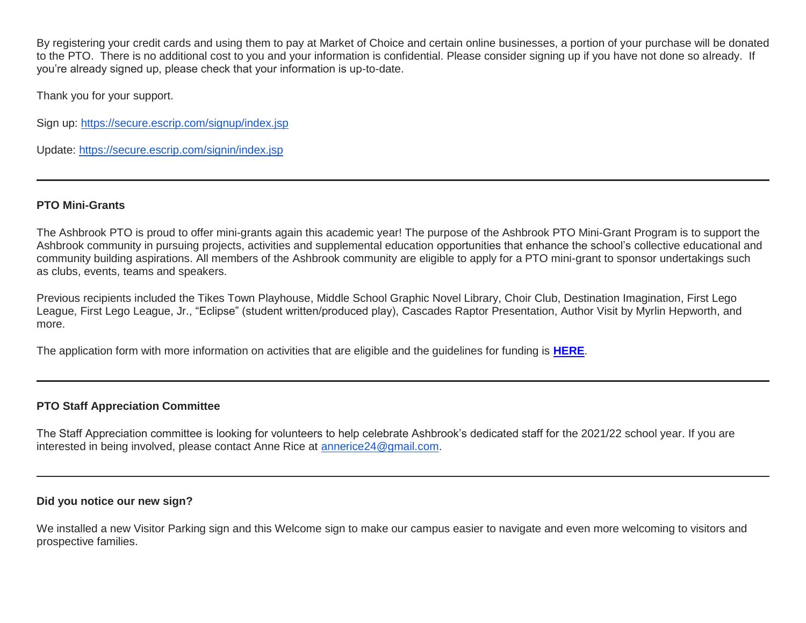By registering your credit cards and using them to pay at Market of Choice and certain online businesses, a portion of your purchase will be donated to the PTO. There is no additional cost to you and your information is confidential. Please consider signing up if you have not done so already. If you're already signed up, please check that your information is up-to-date.

Thank you for your support.

Sign up: <https://secure.escrip.com/signup/index.jsp>

Update: <https://secure.escrip.com/signin/index.jsp>

### **PTO Mini-Grants**

The Ashbrook PTO is proud to offer mini-grants again this academic year! The purpose of the Ashbrook PTO Mini-Grant Program is to support the Ashbrook community in pursuing projects, activities and supplemental education opportunities that enhance the school's collective educational and community building aspirations. All members of the Ashbrook community are eligible to apply for a PTO mini-grant to sponsor undertakings such as clubs, events, teams and speakers.

Previous recipients included the Tikes Town Playhouse, Middle School Graphic Novel Library, Choir Club, Destination Imagination, First Lego League, First Lego League, Jr., "Eclipse" (student written/produced play), Cascades Raptor Presentation, Author Visit by Myrlin Hepworth, and more.

The application form with more information on activities that are eligible and the guidelines for funding is **[HERE](http://link.mystudentsprogress.com/ls/click?upn=n7jYKe39nC4PrVAw2BzaOolgU5XUleaJ61qfvNJxTW3uoi8RFzNYUfSc1qXdqajA34djZWrxIBJBxzp2whbybvqIYp3dDOkCDgKesziBdClenDsTc-2FUGtZuJNxIh5RAijA4c-2FxLDZKxjmas3d9mUCg2OGUEiTYCsalquiRQy9vw-3D0z-e_1PndbFfBoQGSZbxwXHHEexw3B2F0fG-2BUmuXm6a-2BX-2BzsOvCqR85rISZ-2Bg6uZIEqVYrtsPQvgiwaz9V6wykUnMzF3iS6zkfTlMgar85wY8v1TSab87KacqePDjL5RymXei-2FkxgZvL-2FTTRVqd8RvZXv7UQTmh1XsyW-2Fop3w8SaOeU2HLo9BxETdoKPGwKlDkMIpRbpePn1rs3oceKEJNjHuNhh4do0kGrcL-2FZeNDZt7zX7JTw82iGw5VRsJnzCfCE6-2BzdEFX1fiSzncMALrNRh1-2FOMNZroMZPozw0jLLRUT4tDGjb1hmOPEJZBAmYv5s2yhzVf-2FfaIo1uCJPF68d-2BXG2Duuj4kttk-2FiQOlKhcFJy4ARCR8Ugn8O6Fm74uBrwyY2p5sLsQfezFtIZN-2BowQeR-2FHru7oN9m0ywtOH8u-2BTs-2FfDu7kc6LQ2cx6mMNAO23mlM)**.

## **PTO Staff Appreciation Committee**

The Staff Appreciation committee is looking for volunteers to help celebrate Ashbrook's dedicated staff for the 2021/22 school year. If you are interested in being involved, please contact Anne Rice at [annerice24@gmail.com.](mailto:annerice24@gmail.com)

### **Did you notice our new sign?**

We installed a new Visitor Parking sign and this Welcome sign to make our campus easier to navigate and even more welcoming to visitors and prospective families.